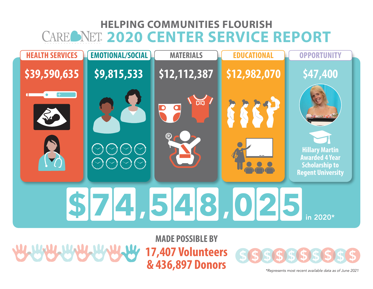## **HELPING COMMUNITIES FLOURISH** CAREONET. 2020 CENTER SERVICE REPORT



**ARAMANA ARAHARAN** 

**17,407 Volunteers & 436,897 Donors**



*\*Represents most recent available data as of June 2021*